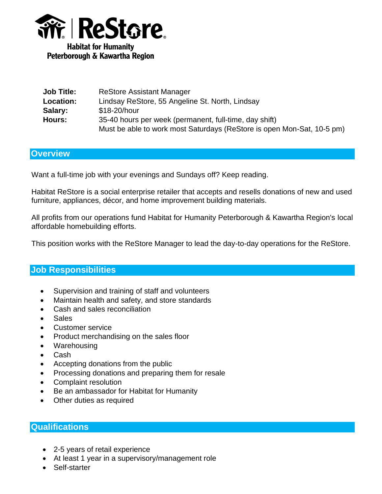

| <b>Job Title:</b> | <b>ReStore Assistant Manager</b>                                       |
|-------------------|------------------------------------------------------------------------|
| <b>Location:</b>  | Lindsay ReStore, 55 Angeline St. North, Lindsay                        |
| Salary:           | \$18-20/hour                                                           |
| Hours:            | 35-40 hours per week (permanent, full-time, day shift)                 |
|                   | Must be able to work most Saturdays (ReStore is open Mon-Sat, 10-5 pm) |

## **Overview**

Want a full-time job with your evenings and Sundays off? Keep reading.

Habitat ReStore is a social enterprise retailer that accepts and resells donations of new and used furniture, appliances, décor, and home improvement building materials.

All profits from our operations fund Habitat for Humanity Peterborough & Kawartha Region's local affordable homebuilding efforts.

This position works with the ReStore Manager to lead the day-to-day operations for the ReStore.

## **Job Responsibilities**

- Supervision and training of staff and volunteers
- Maintain health and safety, and store standards
- Cash and sales reconciliation
- Sales
- Customer service
- Product merchandising on the sales floor
- Warehousing
- Cash
- Accepting donations from the public
- Processing donations and preparing them for resale
- Complaint resolution
- Be an ambassador for Habitat for Humanity
- Other duties as required

## **Qualifications**

- 2-5 years of retail experience
- At least 1 year in a supervisory/management role
- Self-starter